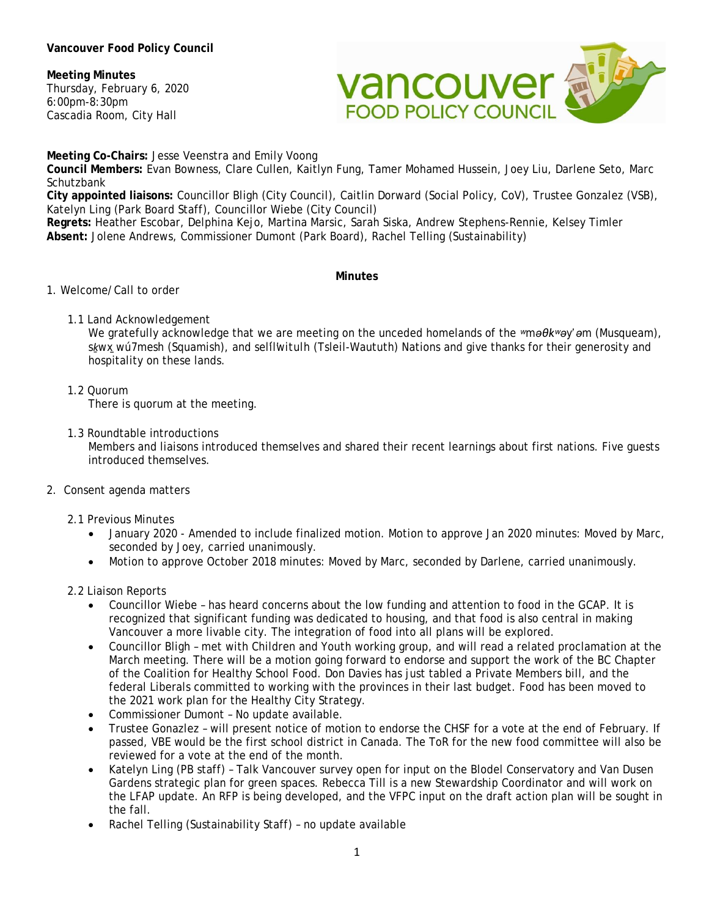### **Vancouver Food Policy Council**

### **Meeting Minutes**

Thursday, February 6, 2020 6:00pm-8:30pm Cascadia Room, City Hall



**Meeting Co-Chairs:** Jesse Veenstra and Emily Voong

**Council Members:** Evan Bowness, Clare Cullen, Kaitlyn Fung, Tamer Mohamed Hussein, Joey Liu, Darlene Seto, Marc **Schutzbank** 

**City appointed liaisons:** Councillor Bligh (City Council), Caitlin Dorward (Social Policy, CoV), Trustee Gonzalez (VSB), Katelyn Ling (Park Board Staff), Councillor Wiebe (City Council)

**Regrets:** Heather Escobar, Delphina Kejo, Martina Marsic, Sarah Siska, Andrew Stephens-Rennie, Kelsey Timler **Absent:** Jolene Andrews, Commissioner Dumont (Park Board), Rachel Telling (Sustainability)

#### **Minutes**

- 1. Welcome/Call to order
	- 1.1 Land Acknowledgement

We gratefully acknowledge that we are meeting on the unceded homelands of the *ʷməθkʷəy̓ əm* (Musqueam), *sḵwx̱wú7mesh* (Squamish), and *sel̓íl̓witulh* (Tsleil-Waututh) Nations and give thanks for their generosity and hospitality on these lands.

1.2 Quorum

There is quorum at the meeting.

1.3 Roundtable introductions

Members and liaisons introduced themselves and shared their recent learnings about first nations. Five guests introduced themselves.

2. Consent agenda matters

2.1 Previous Minutes

- January 2020 Amended to include finalized motion. Motion to approve Jan 2020 minutes: Moved by Marc, seconded by Joey, carried unanimously.
- Motion to approve October 2018 minutes: Moved by Marc, seconded by Darlene, carried unanimously.
- 2.2 Liaison Reports
	- Councillor Wiebe has heard concerns about the low funding and attention to food in the GCAP. It is recognized that significant funding was dedicated to housing, and that food is also central in making Vancouver a more livable city. The integration of food into all plans will be explored.
	- Councillor Bligh met with Children and Youth working group, and will read a related proclamation at the March meeting. There will be a motion going forward to endorse and support the work of the BC Chapter of the Coalition for Healthy School Food. Don Davies has just tabled a Private Members bill, and the federal Liberals committed to working with the provinces in their last budget. Food has been moved to the 2021 work plan for the Healthy City Strategy.
	- Commissioner Dumont No update available.
	- Trustee Gonazlez will present notice of motion to endorse the CHSF for a vote at the end of February. If passed, VBE would be the first school district in Canada. The ToR for the new food committee will also be reviewed for a vote at the end of the month.
	- Katelyn Ling (PB staff) Talk Vancouver survey open for input on the Blodel Conservatory and Van Dusen Gardens strategic plan for green spaces. Rebecca Till is a new Stewardship Coordinator and will work on the LFAP update. An RFP is being developed, and the VFPC input on the draft action plan will be sought in the fall.
	- Rachel Telling (Sustainability Staff) no update available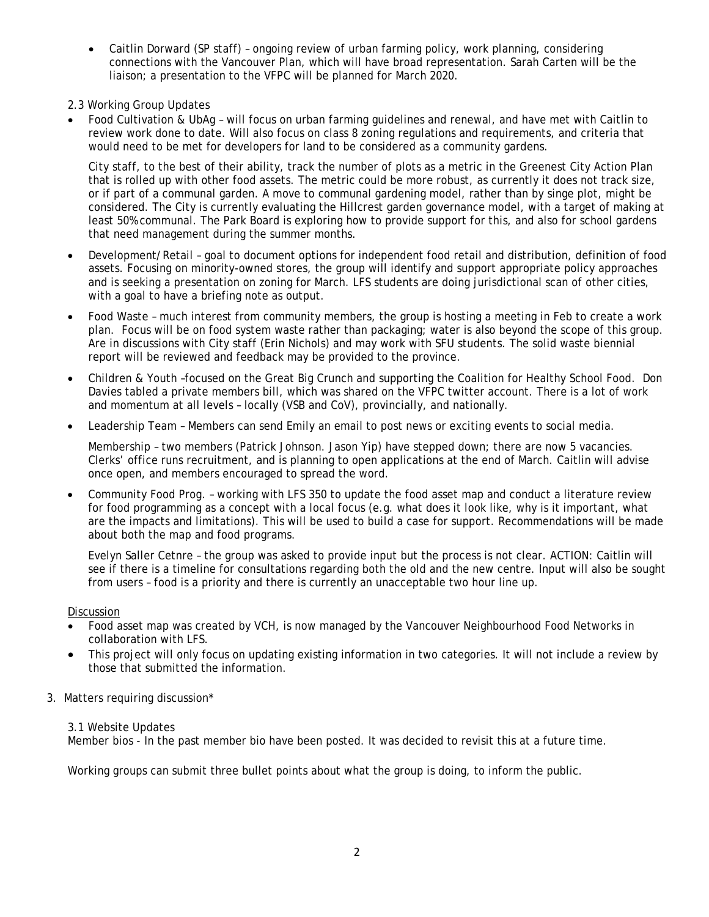- Caitlin Dorward (SP staff) ongoing review of urban farming policy, work planning, considering connections with the Vancouver Plan, which will have broad representation. Sarah Carten will be the liaison; a presentation to the VFPC will be planned for March 2020.
- 2.3 Working Group Updates
- Food Cultivation & UbAg will focus on urban farming guidelines and renewal, and have met with Caitlin to review work done to date. Will also focus on class 8 zoning regulations and requirements, and criteria that would need to be met for developers for land to be considered as a community gardens.

City staff, to the best of their ability, track the number of plots as a metric in the Greenest City Action Plan that is rolled up with other food assets. The metric could be more robust, as currently it does not track size, or if part of a communal garden. A move to communal gardening model, rather than by singe plot, might be considered. The City is currently evaluating the Hillcrest garden governance model, with a target of making at least 50% communal. The Park Board is exploring how to provide support for this, and also for school gardens that need management during the summer months.

- Development/Retail goal to document options for independent food retail and distribution, definition of food assets. Focusing on minority-owned stores, the group will identify and support appropriate policy approaches and is seeking a presentation on zoning for March. LFS students are doing jurisdictional scan of other cities, with a goal to have a briefing note as output.
- Food Waste much interest from community members, the group is hosting a meeting in Feb to create a work plan. Focus will be on food system waste rather than packaging; water is also beyond the scope of this group. Are in discussions with City staff (Erin Nichols) and may work with SFU students. The solid waste biennial report will be reviewed and feedback may be provided to the province.
- Children & Youth –focused on the Great Big Crunch and supporting the Coalition for Healthy School Food. Don Davies tabled a private members bill, which was shared on the VFPC twitter account. There is a lot of work and momentum at all levels – locally (VSB and CoV), provincially, and nationally.
- Leadership Team Members can send Emily an email to post news or exciting events to social media.

Membership – two members (Patrick Johnson. Jason Yip) have stepped down; there are now 5 vacancies. Clerks' office runs recruitment, and is planning to open applications at the end of March. Caitlin will advise once open, and members encouraged to spread the word.

• Community Food Prog. – working with LFS 350 to update the food asset map and conduct a literature review for food programming as a concept with a local focus (e.g. what does it look like, why is it important, what are the impacts and limitations). This will be used to build a case for support. Recommendations will be made about both the map and food programs.

Evelyn Saller Cetnre – the group was asked to provide input but the process is not clear. ACTION: Caitlin will see if there is a timeline for consultations regarding both the old and the new centre. Input will also be sought from users – food is a priority and there is currently an unacceptable two hour line up.

Discussion

- Food asset map was created by VCH, is now managed by the Vancouver Neighbourhood Food Networks in collaboration with LFS.
- This project will only focus on updating existing information in two categories. It will not include a review by those that submitted the information.
- 3. Matters requiring discussion\*

# 3.1 Website Updates

Member bios - In the past member bio have been posted. It was decided to revisit this at a future time.

Working groups can submit three bullet points about what the group is doing, to inform the public.